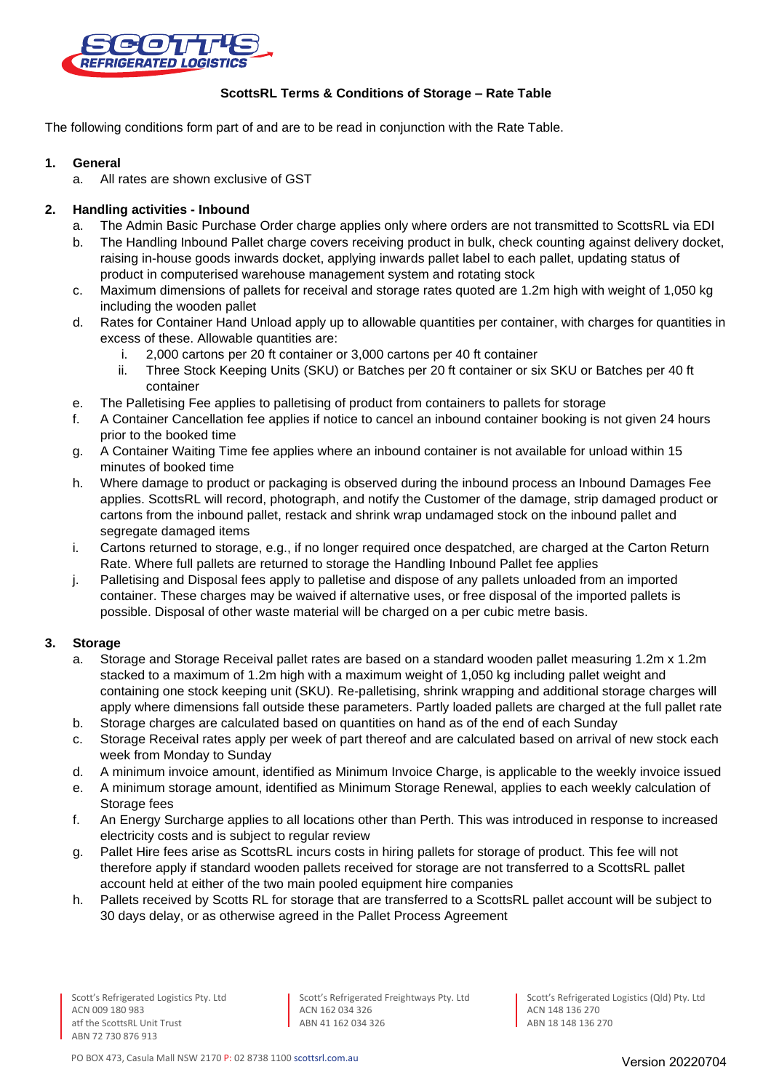

# **ScottsRL Terms & Conditions of Storage – Rate Table**

The following conditions form part of and are to be read in conjunction with the Rate Table.

# **1. General**

a. All rates are shown exclusive of GST

# **2. Handling activities - Inbound**

- a. The Admin Basic Purchase Order charge applies only where orders are not transmitted to ScottsRL via EDI
- b. The Handling Inbound Pallet charge covers receiving product in bulk, check counting against delivery docket, raising in-house goods inwards docket, applying inwards pallet label to each pallet, updating status of product in computerised warehouse management system and rotating stock
- c. Maximum dimensions of pallets for receival and storage rates quoted are 1.2m high with weight of 1,050 kg including the wooden pallet
- d. Rates for Container Hand Unload apply up to allowable quantities per container, with charges for quantities in excess of these. Allowable quantities are:
	- i. 2,000 cartons per 20 ft container or 3,000 cartons per 40 ft container
	- ii. Three Stock Keeping Units (SKU) or Batches per 20 ft container or six SKU or Batches per 40 ft container
- e. The Palletising Fee applies to palletising of product from containers to pallets for storage
- f. A Container Cancellation fee applies if notice to cancel an inbound container booking is not given 24 hours prior to the booked time
- g. A Container Waiting Time fee applies where an inbound container is not available for unload within 15 minutes of booked time
- h. Where damage to product or packaging is observed during the inbound process an Inbound Damages Fee applies. ScottsRL will record, photograph, and notify the Customer of the damage, strip damaged product or cartons from the inbound pallet, restack and shrink wrap undamaged stock on the inbound pallet and segregate damaged items
- i. Cartons returned to storage, e.g., if no longer required once despatched, are charged at the Carton Return Rate. Where full pallets are returned to storage the Handling Inbound Pallet fee applies
- j. Palletising and Disposal fees apply to palletise and dispose of any pallets unloaded from an imported container. These charges may be waived if alternative uses, or free disposal of the imported pallets is possible. Disposal of other waste material will be charged on a per cubic metre basis.

# **3. Storage**

- a. Storage and Storage Receival pallet rates are based on a standard wooden pallet measuring 1.2m x 1.2m stacked to a maximum of 1.2m high with a maximum weight of 1,050 kg including pallet weight and containing one stock keeping unit (SKU). Re-palletising, shrink wrapping and additional storage charges will apply where dimensions fall outside these parameters. Partly loaded pallets are charged at the full pallet rate
- b. Storage charges are calculated based on quantities on hand as of the end of each Sunday
- c. Storage Receival rates apply per week of part thereof and are calculated based on arrival of new stock each week from Monday to Sunday
- d. A minimum invoice amount, identified as Minimum Invoice Charge, is applicable to the weekly invoice issued
- e. A minimum storage amount, identified as Minimum Storage Renewal, applies to each weekly calculation of Storage fees
- f. An Energy Surcharge applies to all locations other than Perth. This was introduced in response to increased electricity costs and is subject to regular review
- g. Pallet Hire fees arise as ScottsRL incurs costs in hiring pallets for storage of product. This fee will not therefore apply if standard wooden pallets received for storage are not transferred to a ScottsRL pallet account held at either of the two main pooled equipment hire companies
- h. Pallets received by Scotts RL for storage that are transferred to a ScottsRL pallet account will be subject to 30 days delay, or as otherwise agreed in the Pallet Process Agreement

Scott's Refrigerated Freightways Pty. Ltd ACN 162 034 326 ABN 41 162 034 326